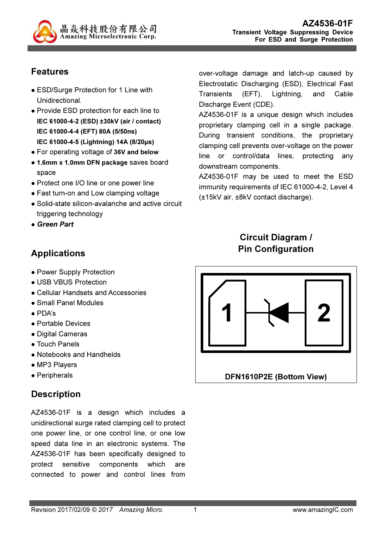

## Features

- ESD/Surge Protection for 1 Line with Unidirectional.
- Provide ESD protection for each line to IEC 61000-4-2 (ESD) ±30kV (air / contact) IEC 61000-4-4 (EFT) 80A (5/50ns) IEC 61000-4-5 (Lightning) 14A (8/20µs)
- For operating voltage of 36V and below
- 1.6mm x 1.0mm DFN package saves board space
- Protect one I/O line or one power line
- Fast turn-on and Low clamping voltage
- Solid-state silicon-avalanche and active circuit triggering technology
- Green Part

## Applications

- Power Supply Protection
- USB VBUS Protection
- Cellular Handsets and Accessories
- Small Panel Modules
- PDA's
- Portable Devices
- Digital Cameras
- Touch Panels
- Notebooks and Handhelds
- MP3 Players
- Peripherals

## **Description**

AZ4536-01F is a design which includes a unidirectional surge rated clamping cell to protect one power line, or one control line, or one low speed data line in an electronic systems. The AZ4536-01F has been specifically designed to protect sensitive components which are connected to power and control lines from

over-voltage damage and latch-up caused by Electrostatic Discharging (ESD), Electrical Fast Transients (EFT), Lightning, and Cable Discharge Event (CDE).

AZ4536-01F is a unique design which includes proprietary clamping cell in a single package. During transient conditions, the proprietary clamping cell prevents over-voltage on the power line or control/data lines, protecting any downstream components.

AZ4536-01F may be used to meet the ESD immunity requirements of IEC 61000-4-2, Level 4 (±15kV air, ±8kV contact discharge).

# Circuit Diagram / Pin Configuration

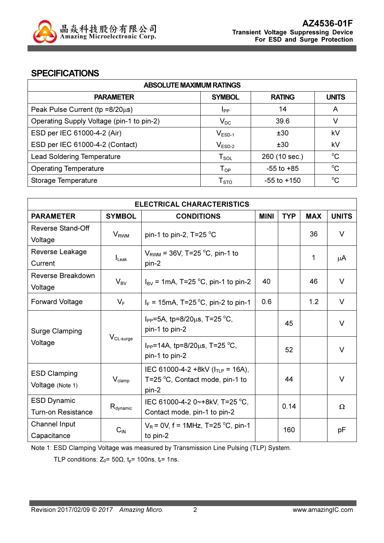

#### **SPECIFICATIONS**

| <b>ABSOLUTE MAXIMUM RATINGS</b>           |                        |                 |              |  |
|-------------------------------------------|------------------------|-----------------|--------------|--|
| <b>PARAMETER</b>                          | <b>SYMBOL</b>          | <b>RATING</b>   | <b>UNITS</b> |  |
| Peak Pulse Current ( $tp = 8/20\mu s$ )   | <b>I</b> pp            | 14              | A            |  |
| Operating Supply Voltage (pin-1 to pin-2) | $V_{DC}$               | 39.6            | V            |  |
| ESD per IEC 61000-4-2 (Air)               | $V_{ESD-1}$            | ±30             | kV           |  |
| ESD per IEC 61000-4-2 (Contact)           | $V_{ESD-2}$            | ±30             | kV           |  |
| <b>Lead Soldering Temperature</b>         | $T_{\texttt{SOL}}$     | 260 (10 sec.)   | $^{\circ}C$  |  |
| <b>Operating Temperature</b>              | $T_{OP}$               | $-55$ to $+85$  | $\rm ^{o}C$  |  |
| Storage Temperature                       | ${\sf T}_{\text{STO}}$ | $-55$ to $+150$ | $^{\circ}C$  |  |

| <b>ELECTRICAL CHARACTERISTICS</b> |                         |                                                |             |            |            |              |
|-----------------------------------|-------------------------|------------------------------------------------|-------------|------------|------------|--------------|
| <b>PARAMETER</b>                  | <b>SYMBOL</b>           | <b>CONDITIONS</b>                              | <b>MINI</b> | <b>TYP</b> | <b>MAX</b> | <b>UNITS</b> |
| <b>Reverse Stand-Off</b>          |                         |                                                |             |            | 36         | $\vee$       |
| Voltage                           | <b>V</b> <sub>RWM</sub> | pin-1 to pin-2, $T=25$ °C                      |             |            |            |              |
| Reverse Leakage                   |                         | $V_{\text{RWM}}$ = 36V, T=25 °C, pin-1 to      |             |            | 1          |              |
| Current                           | $I_{\text{Leak}}$       | pin-2                                          |             |            |            | μA           |
| Reverse Breakdown                 |                         |                                                | 40          |            | 46         | $\vee$       |
| Voltage                           | $V_{BV}$                | $I_{BV}$ = 1mA, T=25 °C, pin-1 to pin-2        |             |            |            |              |
| <b>Forward Voltage</b>            | $V_F$                   | $I_F = 15 \text{mA}$ , T=25 °C, pin-2 to pin-1 | 0.6         |            | 1.2        | V            |
|                                   |                         | $I_{PP}$ =5A, tp=8/20 $\mu$ s, T=25 °C,        |             | 45         |            | V            |
| Surge Clamping                    |                         | pin-1 to pin-2                                 |             |            |            |              |
| Voltage                           | $V_{CL-surge}$          | I <sub>PP</sub> =14A, tp=8/20µs, T=25 °C,      |             |            |            |              |
|                                   |                         | pin-1 to pin-2                                 |             | 52         |            | V            |
| <b>ESD Clamping</b>               |                         | IEC 61000-4-2 +8kV ( $I_{TLP}$ = 16A),         |             |            |            |              |
| Voltage (Note 1)                  | $V_{\text{clamp}}$      | T=25 °C, Contact mode, pin-1 to                |             | 44         |            | $\vee$       |
|                                   |                         | pin-2                                          |             |            |            |              |
| <b>ESD Dynamic</b>                | $R_{\text{dynamic}}$    | IEC 61000-4-2 0~+8kV, T=25 °C,                 |             | 0.14       |            | $\Omega$     |
| <b>Turn-on Resistance</b>         |                         | Contact mode, pin-1 to pin-2                   |             |            |            |              |
| Channel Input                     | $C_{IN}$                | $V_R$ = 0V, f = 1MHz, T=25 °C, pin-1           |             | 160        |            | рF           |
| Capacitance                       |                         | to pin-2                                       |             |            |            |              |

Note 1: ESD Clamping Voltage was measured by Transmission Line Pulsing (TLP) System.

TLP conditions:  $Z_0$ = 50 $\Omega$ ,  $t_p$ = 100ns,  $t_r$ = 1ns.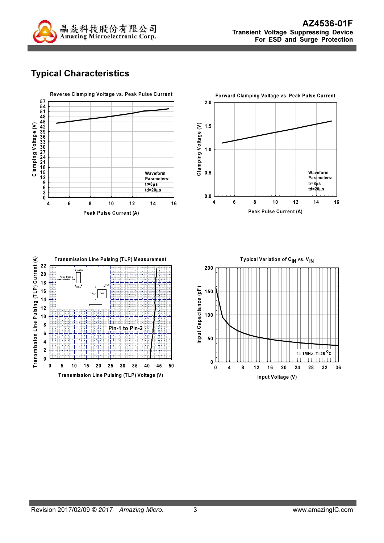

# Typical Characteristics

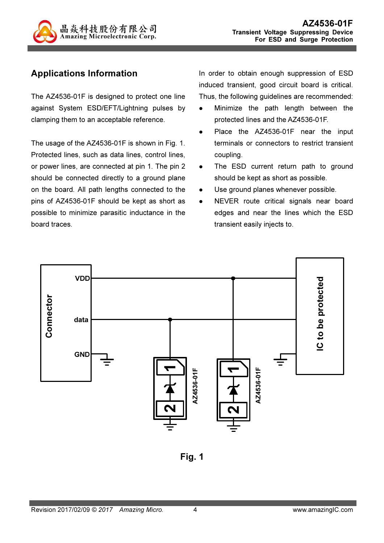

# Applications Information

The AZ4536-01F is designed to protect one line against System ESD/EFT/Lightning pulses by clamping them to an acceptable reference.

The usage of the AZ4536-01F is shown in Fig. 1. Protected lines, such as data lines, control lines, or power lines, are connected at pin 1. The pin 2 should be connected directly to a ground plane on the board. All path lengths connected to the pins of AZ4536-01F should be kept as short as possible to minimize parasitic inductance in the board traces.

In order to obtain enough suppression of ESD induced transient, good circuit board is critical. Thus, the following guidelines are recommended:

- Minimize the path length between the protected lines and the AZ4536-01F.
- Place the AZ4536-01F near the input terminals or connectors to restrict transient coupling.
- The ESD current return path to ground should be kept as short as possible.
- Use ground planes whenever possible.
- NEVER route critical signals near board edges and near the lines which the ESD transient easily injects to.



Fig. 1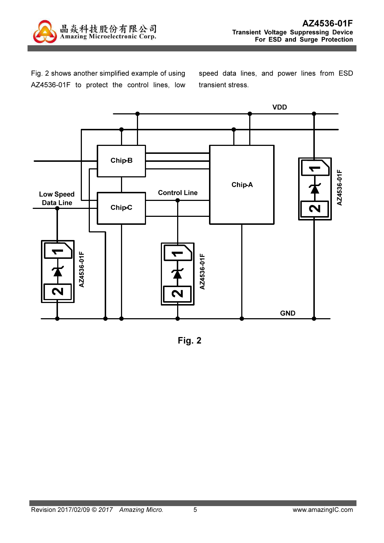

Fig. 2 shows another simplified example of using AZ4536-01F to protect the control lines, low speed data lines, and power lines from ESD transient stress.



Fig. 2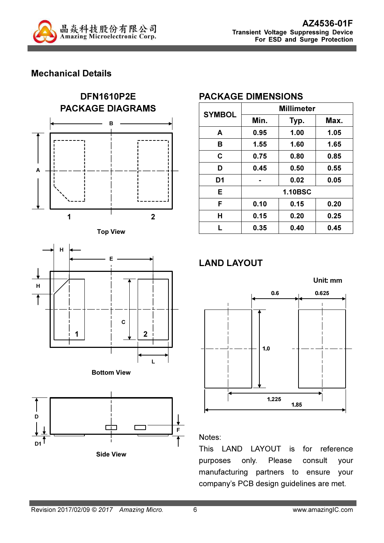

### Mechanical Details











#### PACKAGE DIMENSIONS

| <b>SYMBOL</b>  | <b>Millimeter</b> |      |      |  |
|----------------|-------------------|------|------|--|
|                | Min.              | Typ. | Max. |  |
| A              | 0.95              | 1.00 | 1.05 |  |
| в              | 1.55              | 1.60 | 1.65 |  |
| C              | 0.75              | 0.80 | 0.85 |  |
| D              | 0.45              | 0.50 | 0.55 |  |
| D <sub>1</sub> |                   | 0.02 | 0.05 |  |
| E              | <b>1.10BSC</b>    |      |      |  |
| F              | 0.10              | 0.15 | 0.20 |  |
| Н              | 0.15              | 0.20 | 0.25 |  |
| L              | 0.35              | 0.40 | 0.45 |  |

# LAND LAYOUT



#### Notes:

This LAND LAYOUT is for reference purposes only. Please consult your manufacturing partners to ensure your company's PCB design guidelines are met.